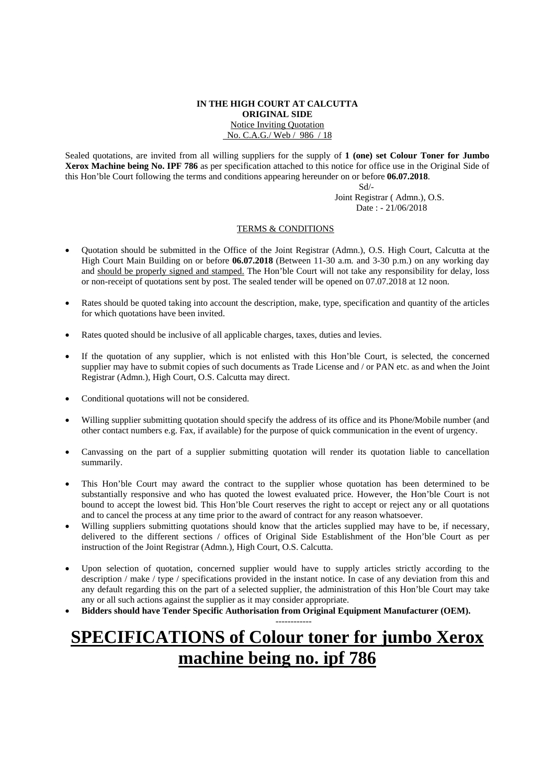#### **IN THE HIGH COURT AT CALCUTTA ORIGINAL SIDE**  Notice Inviting Quotation No. C.A.G./ Web / 986 / 18

Sealed quotations, are invited from all willing suppliers for the supply of **1 (one) set Colour Toner for Jumbo Xerox Machine being No. IPF 786** as per specification attached to this notice for office use in the Original Side of this Hon'ble Court following the terms and conditions appearing hereunder on or before **06.07.2018**.

Sd/-

 Joint Registrar ( Admn.), O.S. Date : - 21/06/2018

### TERMS & CONDITIONS

- Quotation should be submitted in the Office of the Joint Registrar (Admn.), O.S. High Court, Calcutta at the High Court Main Building on or before **06.07.2018** (Between 11-30 a.m. and 3-30 p.m.) on any working day and should be properly signed and stamped. The Hon'ble Court will not take any responsibility for delay, loss or non-receipt of quotations sent by post. The sealed tender will be opened on 07.07.2018 at 12 noon.
- Rates should be quoted taking into account the description, make, type, specification and quantity of the articles for which quotations have been invited.
- Rates quoted should be inclusive of all applicable charges, taxes, duties and levies.
- If the quotation of any supplier, which is not enlisted with this Hon'ble Court, is selected, the concerned supplier may have to submit copies of such documents as Trade License and / or PAN etc. as and when the Joint Registrar (Admn.), High Court, O.S. Calcutta may direct.
- Conditional quotations will not be considered.
- Willing supplier submitting quotation should specify the address of its office and its Phone/Mobile number (and other contact numbers e.g. Fax, if available) for the purpose of quick communication in the event of urgency.
- Canvassing on the part of a supplier submitting quotation will render its quotation liable to cancellation summarily.
- This Hon'ble Court may award the contract to the supplier whose quotation has been determined to be substantially responsive and who has quoted the lowest evaluated price. However, the Hon'ble Court is not bound to accept the lowest bid. This Hon'ble Court reserves the right to accept or reject any or all quotations and to cancel the process at any time prior to the award of contract for any reason whatsoever.
- Willing suppliers submitting quotations should know that the articles supplied may have to be, if necessary, delivered to the different sections / offices of Original Side Establishment of the Hon'ble Court as per instruction of the Joint Registrar (Admn.), High Court, O.S. Calcutta.
- Upon selection of quotation, concerned supplier would have to supply articles strictly according to the description / make / type / specifications provided in the instant notice. In case of any deviation from this and any default regarding this on the part of a selected supplier, the administration of this Hon'ble Court may take any or all such actions against the supplier as it may consider appropriate.
- **Bidders should have Tender Specific Authorisation from Original Equipment Manufacturer (OEM).**

### **SPECIFICATIONS of Colour toner for jumbo Xerox machine being no. ipf 786**

------------